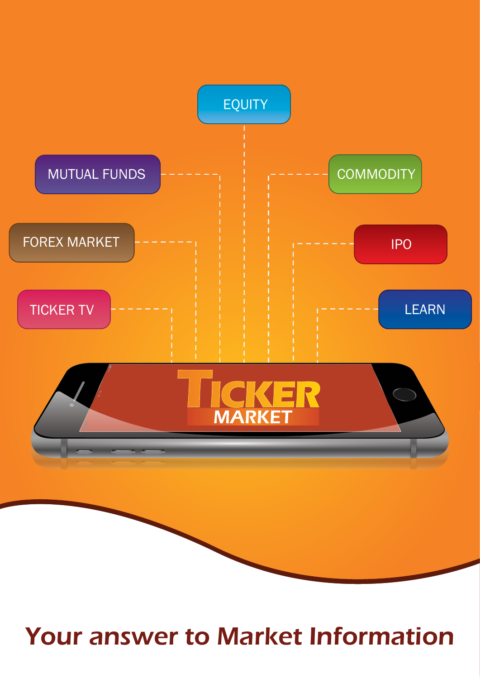

## Your answer to Market Information